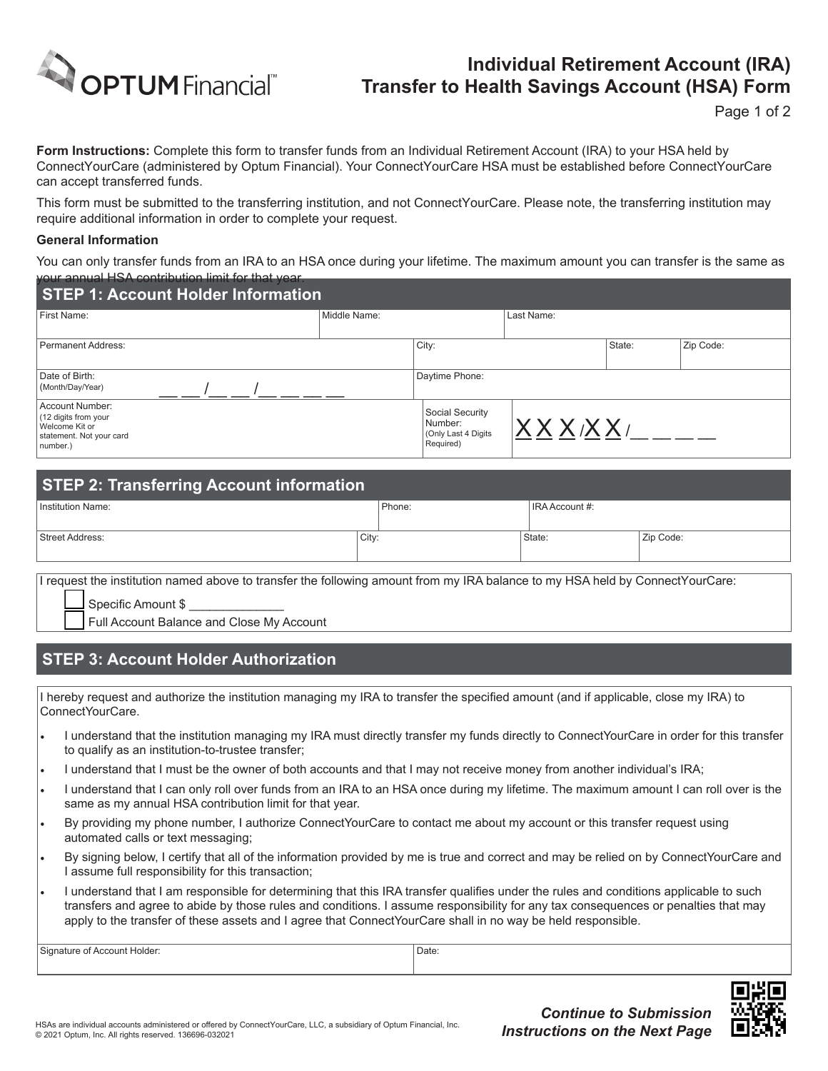

## **Individual Retirement Account (IRA) Transfer to Health Savings Account (HSA) Form**

Page 1 of 2

**Form Instructions:** Complete this form to transfer funds from an Individual Retirement Account (IRA) to your HSA held by ConnectYourCare (administered by Optum Financial). Your ConnectYourCare HSA must be established before ConnectYourCare can accept transferred funds.

This form must be submitted to the transferring institution, and not ConnectYourCare. Please note, the transferring institution may require additional information in order to complete your request.

## **General Information**

You can only transfer funds from an IRA to an HSA once during your lifetime. The maximum amount you can transfer is the same as your annual HSA contribution limit for that year.

| <b>STEP 1: Account Holder Information</b>                                                         |              |                                                                 |            |        |           |  |  |  |  |
|---------------------------------------------------------------------------------------------------|--------------|-----------------------------------------------------------------|------------|--------|-----------|--|--|--|--|
| First Name:                                                                                       | Middle Name: |                                                                 | Last Name: |        |           |  |  |  |  |
| Permanent Address:                                                                                |              | City:                                                           |            | State: | Zip Code: |  |  |  |  |
| Date of Birth:<br>(Month/Day/Year)                                                                |              | Daytime Phone:                                                  |            |        |           |  |  |  |  |
| Account Number:<br>(12 digits from your<br>Welcome Kit or<br>statement. Not your card<br>number.) |              | Social Security<br>Number:<br>(Only Last 4 Digits)<br>Required) | XXXXXX     |        |           |  |  |  |  |

| <b>STEP 2: Transferring Account information</b> |       |        |                |           |  |  |  |  |
|-------------------------------------------------|-------|--------|----------------|-----------|--|--|--|--|
| Institution Name:                               |       | Phone: | IRA Account #: |           |  |  |  |  |
| Street Address:                                 | City: |        | State:         | Zip Code: |  |  |  |  |

I request the institution named above to transfer the following amount from my IRA balance to my HSA held by ConnectYourCare:

Specific Amount \$

Full Account Balance and Close My Account

## **STEP 3: Account Holder Authorization**

I hereby request and authorize the institution managing my IRA to transfer the specified amount (and if applicable, close my IRA) to ConnectYourCare.

- I understand that the institution managing my IRA must directly transfer my funds directly to ConnectYourCare in order for this transfer to qualify as an institution-to-trustee transfer;
- I understand that I must be the owner of both accounts and that I may not receive money from another individual's IRA;
- I understand that I can only roll over funds from an IRA to an HSA once during my lifetime. The maximum amount I can roll over is the same as my annual HSA contribution limit for that year.
- By providing my phone number, I authorize ConnectYourCare to contact me about my account or this transfer request using automated calls or text messaging;
- By signing below, I certify that all of the information provided by me is true and correct and may be relied on by ConnectYourCare and I assume full responsibility for this transaction;
- I understand that I am responsible for determining that this IRA transfer qualifies under the rules and conditions applicable to such transfers and agree to abide by those rules and conditions. I assume responsibility for any tax consequences or penalties that may apply to the transfer of these assets and I agree that ConnectYourCare shall in no way be held responsible.

Signature of Account Holder: Date: Date: Date: Date: Date: Date: Date: Date: Date: Date: Date: Date: Date: Date: Date: Date: Date: Date: Date: Date: Date: Date: Date: Date: Date: Date: Date: Date: Date: Date: Date: Date: D